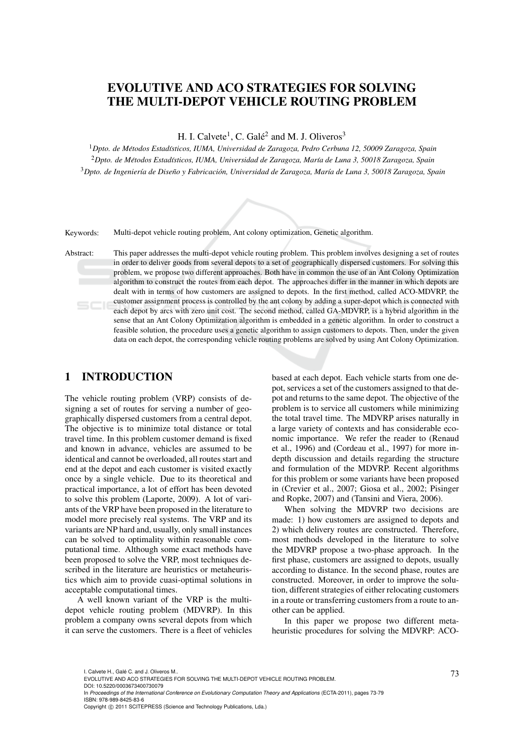# EVOLUTIVE AND ACO STRATEGIES FOR SOLVING THE MULTI-DEPOT VEHICLE ROUTING PROBLEM

H. I. Calvete<sup>1</sup>, C. Galé<sup>2</sup> and M. J. Oliveros<sup>3</sup>

<sup>1</sup>*Dpto. de Metodos Estad ´ ´ısticos, IUMA, Universidad de Zaragoza, Pedro Cerbuna 12, 50009 Zaragoza, Spain* <sup>2</sup>*Dpto. de Metodos Estad ´ ´ısticos, IUMA, Universidad de Zaragoza, Mar´ıa de Luna 3, 50018 Zaragoza, Spain* <sup>3</sup>*Dpto. de Ingenier´ıa de Diseno y Fabricaci ˜ on, Universidad de Zaragoza, Mar ´ ´ıa de Luna 3, 50018 Zaragoza, Spain*



Keywords: Multi-depot vehicle routing problem, Ant colony optimization, Genetic algorithm.

Abstract: This paper addresses the multi-depot vehicle routing problem. This problem involves designing a set of routes in order to deliver goods from several depots to a set of geographically dispersed customers. For solving this problem, we propose two different approaches. Both have in common the use of an Ant Colony Optimization algorithm to construct the routes from each depot. The approaches differ in the manner in which depots are dealt with in terms of how customers are assigned to depots. In the first method, called ACO-MDVRP, the customer assignment process is controlled by the ant colony by adding a super-depot which is connected with each depot by arcs with zero unit cost. The second method, called GA-MDVRP, is a hybrid algorithm in the sense that an Ant Colony Optimization algorithm is embedded in a genetic algorithm. In order to construct a feasible solution, the procedure uses a genetic algorithm to assign customers to depots. Then, under the given data on each depot, the corresponding vehicle routing problems are solved by using Ant Colony Optimization.

# 1 INTRODUCTION

The vehicle routing problem (VRP) consists of designing a set of routes for serving a number of geographically dispersed customers from a central depot. The objective is to minimize total distance or total travel time. In this problem customer demand is fixed and known in advance, vehicles are assumed to be identical and cannot be overloaded, all routes start and end at the depot and each customer is visited exactly once by a single vehicle. Due to its theoretical and practical importance, a lot of effort has been devoted to solve this problem (Laporte, 2009). A lot of variants of the VRP have been proposed in the literature to model more precisely real systems. The VRP and its variants are NP hard and, usually, only small instances can be solved to optimality within reasonable computational time. Although some exact methods have been proposed to solve the VRP, most techniques described in the literature are heuristics or metaheuristics which aim to provide cuasi-optimal solutions in acceptable computational times.

A well known variant of the VRP is the multidepot vehicle routing problem (MDVRP). In this problem a company owns several depots from which it can serve the customers. There is a fleet of vehicles

based at each depot. Each vehicle starts from one depot, services a set of the customers assigned to that depot and returns to the same depot. The objective of the problem is to service all customers while minimizing the total travel time. The MDVRP arises naturally in a large variety of contexts and has considerable economic importance. We refer the reader to (Renaud et al., 1996) and (Cordeau et al., 1997) for more indepth discussion and details regarding the structure and formulation of the MDVRP. Recent algorithms for this problem or some variants have been proposed in (Crevier et al., 2007; Giosa et al., 2002; Pisinger and Ropke, 2007) and (Tansini and Viera, 2006).

When solving the MDVRP two decisions are made: 1) how customers are assigned to depots and 2) which delivery routes are constructed. Therefore, most methods developed in the literature to solve the MDVRP propose a two-phase approach. In the first phase, customers are assigned to depots, usually according to distance. In the second phase, routes are constructed. Moreover, in order to improve the solution, different strategies of either relocating customers in a route or transferring customers from a route to another can be applied.

In this paper we propose two different metaheuristic procedures for solving the MDVRP: ACO-

DOI: 10.5220/0003673400730079

l. Calvete H., Galé C. and J. Oliveros M..<br>EVOLUTIVE AND ACO STRATEGIES FOR SOLVING THE MULTI-DEPOT VEHICLE ROUTING PROBLEM.

In *Proceedings of the International Conference on Evolutionary Computation Theory and Applications* (ECTA-2011), pages 73-79 ISBN: 978-989-8425-83-6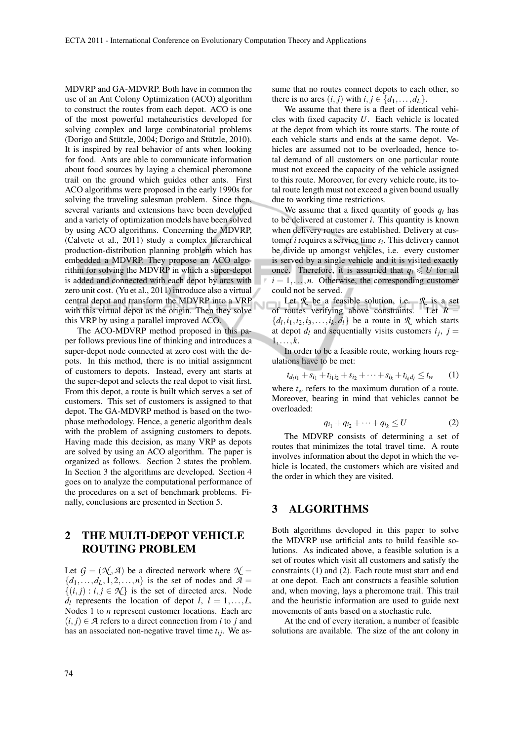MDVRP and GA-MDVRP. Both have in common the use of an Ant Colony Optimization (ACO) algorithm to construct the routes from each depot. ACO is one of the most powerful metaheuristics developed for solving complex and large combinatorial problems (Dorigo and Stützle, 2004; Dorigo and Stützle, 2010). It is inspired by real behavior of ants when looking for food. Ants are able to communicate information about food sources by laying a chemical pheromone trail on the ground which guides other ants. First ACO algorithms were proposed in the early 1990s for solving the traveling salesman problem. Since then, several variants and extensions have been developed and a variety of optimization models have been solved by using ACO algorithms. Concerning the MDVRP, (Calvete et al., 2011) study a complex hierarchical production-distribution planning problem which has embedded a MDVRP. They propose an ACO algorithm for solving the MDVRP in which a super-depot is added and connected with each depot by arcs with zero unit cost. (Yu et al., 2011) introduce also a virtual central depot and transform the MDVRP into a VRP with this virtual depot as the origin. Then they solve this VRP by using a parallel improved ACO.

The ACO-MDVRP method proposed in this paper follows previous line of thinking and introduces a super-depot node connected at zero cost with the depots. In this method, there is no initial assignment of customers to depots. Instead, every ant starts at the super-depot and selects the real depot to visit first. From this depot, a route is built which serves a set of customers. This set of customers is assigned to that depot. The GA-MDVRP method is based on the twophase methodology. Hence, a genetic algorithm deals with the problem of assigning customers to depots. Having made this decision, as many VRP as depots are solved by using an ACO algorithm. The paper is organized as follows. Section 2 states the problem. In Section 3 the algorithms are developed. Section 4 goes on to analyze the computational performance of the procedures on a set of benchmark problems. Finally, conclusions are presented in Section 5.

# 2 THE MULTI-DEPOT VEHICLE ROUTING PROBLEM

Let  $G = (\mathcal{N}, \mathcal{A})$  be a directed network where  $\mathcal{N} =$  ${d_1, \ldots, d_L, 1, 2, \ldots, n}$  is the set of nodes and  $A =$  $\{(i, j) : i, j \in \mathcal{N}\}\$ is the set of directed arcs. Node  $d_l$  represents the location of depot *l*,  $l = 1, \ldots, L$ . Nodes 1 to *n* represent customer locations. Each arc  $(i, j) \in \mathcal{A}$  refers to a direct connection from *i* to *j* and has an associated non-negative travel time  $t_{ij}$ . We assume that no routes connect depots to each other, so there is no arcs  $(i, j)$  with  $i, j \in \{d_1, \ldots, d_L\}.$ 

We assume that there is a fleet of identical vehicles with fixed capacity *U*. Each vehicle is located at the depot from which its route starts. The route of each vehicle starts and ends at the same depot. Vehicles are assumed not to be overloaded, hence total demand of all customers on one particular route must not exceed the capacity of the vehicle assigned to this route. Moreover, for every vehicle route, its total route length must not exceed a given bound usually due to working time restrictions.

We assume that a fixed quantity of goods  $q_i$  has to be delivered at customer *i*. This quantity is known when delivery routes are established. Delivery at customer *i* requires a service time *s<sup>i</sup>* . This delivery cannot be divide up amongst vehicles, i.e. every customer is served by a single vehicle and it is visited exactly once. Therefore, it is assumed that  $q_i \leq U$  for all  $i = 1, \ldots, n$ . Otherwise, the corresponding customer could not be served.

Let *R* be a feasible solution, i.e. *R* is a set of routes verifying above constraints. Let  $R =$  $\{d_l, i_1, i_2, i_3, \ldots, i_k, d_l\}$  be a route in *R* which starts at depot  $d_l$  and sequentially visits customers  $i_j$ ,  $j =$  $1,\ldots,k$ .

In order to be a feasible route, working hours regulations have to be met:

$$
t_{d_1 i_1} + s_{i_1} + t_{i_1 i_2} + s_{i_2} + \dots + s_{i_k} + t_{i_k d_l} \le t_w \qquad (1)
$$

where  $t_w$  refers to the maximum duration of a route. Moreover, bearing in mind that vehicles cannot be overloaded:

$$
q_{i_1} + q_{i_2} + \dots + q_{i_k} \le U \tag{2}
$$

The MDVRP consists of determining a set of routes that minimizes the total travel time. A route involves information about the depot in which the vehicle is located, the customers which are visited and the order in which they are visited.

## 3 ALGORITHMS

Both algorithms developed in this paper to solve the MDVRP use artificial ants to build feasible solutions. As indicated above, a feasible solution is a set of routes which visit all customers and satisfy the constraints (1) and (2). Each route must start and end at one depot. Each ant constructs a feasible solution and, when moving, lays a pheromone trail. This trail and the heuristic information are used to guide next movements of ants based on a stochastic rule.

At the end of every iteration, a number of feasible solutions are available. The size of the ant colony in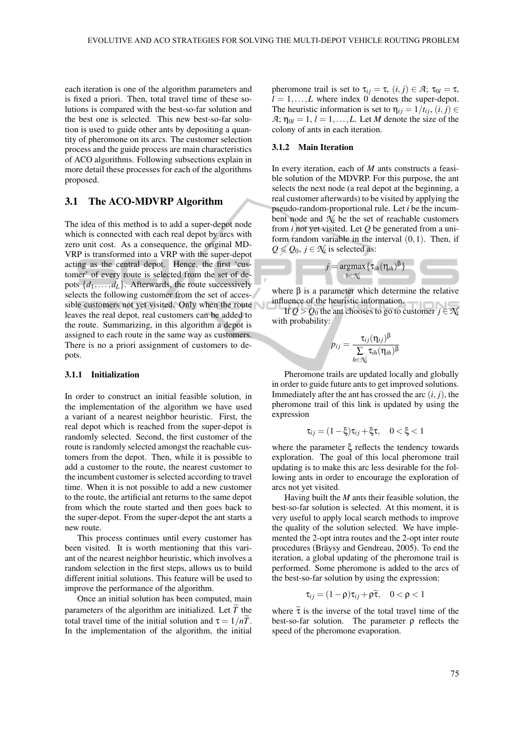each iteration is one of the algorithm parameters and is fixed a priori. Then, total travel time of these solutions is compared with the best-so-far solution and the best one is selected. This new best-so-far solution is used to guide other ants by depositing a quantity of pheromone on its arcs. The customer selection process and the guide process are main characteristics of ACO algorithms. Following subsections explain in more detail these processes for each of the algorithms proposed.

## 3.1 The ACO-MDVRP Algorithm

The idea of this method is to add a super-depot node which is connected with each real depot by arcs with zero unit cost. As a consequence, the original MD-VRP is transformed into a VRP with the super-depot acting as the central depot. Hence, the first 'customer' of every route is selected from the set of depots  $\{d_1, \ldots, d_L\}$ . Afterwards, the route successively selects the following customer from the set of accessible customers not yet visited. Only when the route leaves the real depot, real customers can be added to the route. Summarizing, in this algorithm a depot is assigned to each route in the same way as customers. There is no a priori assignment of customers to depots.

### 3.1.1 Initialization

In order to construct an initial feasible solution, in the implementation of the algorithm we have used a variant of a nearest neighbor heuristic. First, the real depot which is reached from the super-depot is randomly selected. Second, the first customer of the route is randomly selected amongst the reachable customers from the depot. Then, while it is possible to add a customer to the route, the nearest customer to the incumbent customer is selected according to travel time. When it is not possible to add a new customer to the route, the artificial ant returns to the same depot from which the route started and then goes back to the super-depot. From the super-depot the ant starts a new route.

This process continues until every customer has been visited. It is worth mentioning that this variant of the nearest neighbor heuristic, which involves a random selection in the first steps, allows us to build different initial solutions. This feature will be used to improve the performance of the algorithm.

Once an initial solution has been computed, main parameters of the algorithm are initialized. Let  $\widetilde{T}$  the total travel time of the initial solution and  $\tau = 1/n\tilde{T}$ . In the implementation of the algorithm, the initial pheromone trail is set to  $\tau_{ij} = \tau$ ,  $(i, j) \in \mathcal{A}$ ;  $\tau_{0l} = \tau$ ,  $l = 1, \ldots, L$  where index 0 denotes the super-depot. The heuristic information is set to  $\eta_{ij} = 1/t_{ij}$ ,  $(i, j) \in$  $A: \eta_{0l} = 1, l = 1, \ldots, L$ . Let *M* denote the size of the colony of ants in each iteration.

### 3.1.2 Main Iteration

In every iteration, each of *M* ants constructs a feasible solution of the MDVRP. For this purpose, the ant selects the next node (a real depot at the beginning, a real customer afterwards) to be visited by applying the pseudo-random-proportional rule. Let *i* be the incumbent node and  $\mathcal{N}_i$  be the set of reachable customers from *i* not yet visited. Let *Q* be generated from a uniform random variable in the interval  $(0,1)$ . Then, if  $Q \leq Q_0$ ,  $j \in \mathcal{N}_i$  is selected as:



where  $\beta$  is a parameter which determine the relative influence of the heuristic information.

If  $Q > Q_0$  the ant chooses to go to customer  $j \in \mathcal{N}_i$ with probability:

$$
p_{ij} = \frac{\tau_{ij}(\eta_{ij})^{\beta}}{\sum\limits_{h \in \mathcal{N}_i} \tau_{ih}(\eta_{ih})^{\beta}}
$$

Pheromone trails are updated locally and globally in order to guide future ants to get improved solutions. Immediately after the ant has crossed the arc  $(i, j)$ , the pheromone trail of this link is updated by using the expression

$$
\tau_{ij} = (1 - \xi)\tau_{ij} + \xi\tau, \quad 0 < \xi < 1
$$

where the parameter ξ reflects the tendency towards exploration. The goal of this local pheromone trail updating is to make this arc less desirable for the following ants in order to encourage the exploration of arcs not yet visited.

Having built the *M* ants their feasible solution, the best-so-far solution is selected. At this moment, it is very useful to apply local search methods to improve the quality of the solution selected. We have implemented the 2-opt intra routes and the 2-opt inter route procedures (Bräysy and Gendreau, 2005). To end the iteration, a global updating of the pheromone trail is performed. Some pheromone is added to the arcs of the best-so-far solution by using the expression:

$$
\tau_{ij} = (1 - \rho)\tau_{ij} + \rho\tilde{\tau}, \quad 0 < \rho < 1
$$

where  $\tilde{\tau}$  is the inverse of the total travel time of the best-so-far solution. The parameter ρ reflects the speed of the pheromone evaporation.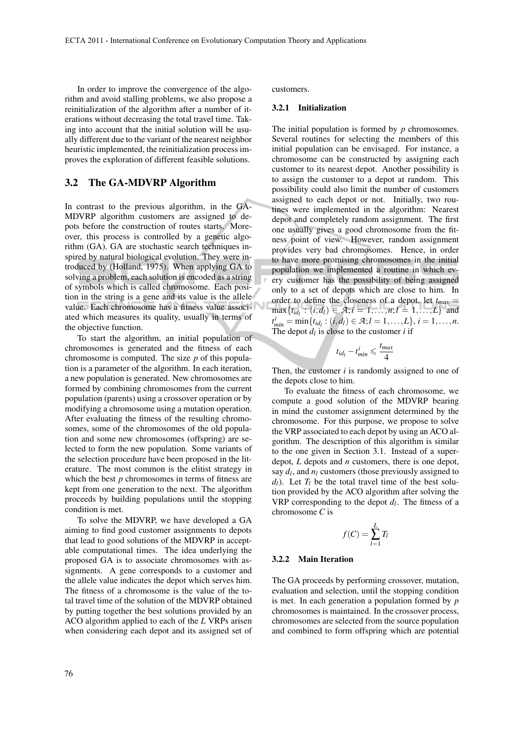In order to improve the convergence of the algorithm and avoid stalling problems, we also propose a reinitialization of the algorithm after a number of iterations without decreasing the total travel time. Taking into account that the initial solution will be usually different due to the variant of the nearest neighbor heuristic implemented, the reinitialization process improves the exploration of different feasible solutions.

## 3.2 The GA-MDVRP Algorithm

In contrast to the previous algorithm, in the GA-MDVRP algorithm customers are assigned to depots before the construction of routes starts. Moreover, this process is controlled by a genetic algorithm (GA). GA are stochastic search techniques inspired by natural biological evolution. They were introduced by (Holland, 1975). When applying GA to solving a problem, each solution is encoded as a string of symbols which is called chromosome. Each position in the string is a gene and its value is the allele value. Each chromosome has a fitness value associated which measures its quality, usually in terms of the objective function.

To start the algorithm, an initial population of chromosomes is generated and the fitness of each chromosome is computed. The size *p* of this population is a parameter of the algorithm. In each iteration, a new population is generated. New chromosomes are formed by combining chromosomes from the current population (parents) using a crossover operation or by modifying a chromosome using a mutation operation. After evaluating the fitness of the resulting chromosomes, some of the chromosomes of the old population and some new chromosomes (offspring) are selected to form the new population. Some variants of the selection procedure have been proposed in the literature. The most common is the elitist strategy in which the best *p* chromosomes in terms of fitness are kept from one generation to the next. The algorithm proceeds by building populations until the stopping condition is met.

To solve the MDVRP, we have developed a GA aiming to find good customer assignments to depots that lead to good solutions of the MDVRP in acceptable computational times. The idea underlying the proposed GA is to associate chromosomes with assignments. A gene corresponds to a customer and the allele value indicates the depot which serves him. The fitness of a chromosome is the value of the total travel time of the solution of the MDVRP obtained by putting together the best solutions provided by an ACO algorithm applied to each of the *L* VRPs arisen when considering each depot and its assigned set of

76

customers.

#### 3.2.1 Initialization

The initial population is formed by *p* chromosomes. Several routines for selecting the members of this initial population can be envisaged. For instance, a chromosome can be constructed by assigning each customer to its nearest depot. Another possibility is to assign the customer to a depot at random. This possibility could also limit the number of customers assigned to each depot or not. Initially, two routines were implemented in the algorithm: Nearest depot and completely random assignment. The first one usually gives a good chromosome from the fitness point of view. However, random assignment provides very bad chromosomes. Hence, in order to have more promising chromosomes in the initial population we implemented a routine in which every customer has the possibility of being assigned only to a set of depots which are close to him. In order to define the closeness of a depot, let  $t_{max}$  =  $\max\{t_{id_l} : (i, d_l) \in \mathcal{A}; i = 1, \ldots, n; l = 1, \ldots, L\}$  and  $t_{min}^i = \min\{t_{id_l} : (i, d_l) \in \mathcal{A}; l = 1, \ldots, L\}, i = 1, \ldots, n.$ The depot  $d_l$  is close to the customer  $i$  if

$$
t_{id_l} - t_{min}^i \leqslant \frac{t_{max}}{4}
$$

Then, the customer *i* is randomly assigned to one of the depots close to him.

To evaluate the fitness of each chromosome, we compute a good solution of the MDVRP bearing in mind the customer assignment determined by the chromosome. For this purpose, we propose to solve the VRP associated to each depot by using an ACO algorithm. The description of this algorithm is similar to the one given in Section 3.1. Instead of a superdepot, *L* depots and *n* customers, there is one depot, say  $d_l$ , and  $n_l$  customers (those previously assigned to  $d_l$ ). Let  $T_l$  be the total travel time of the best solution provided by the ACO algorithm after solving the VRP corresponding to the depot  $d_l$ . The fitness of a chromosome *C* is

$$
f(C) = \sum_{l=1}^{L} T_l
$$

#### 3.2.2 Main Iteration

The GA proceeds by performing crossover, mutation, evaluation and selection, until the stopping condition is met. In each generation a population formed by *p* chromosomes is maintained. In the crossover process, chromosomes are selected from the source population and combined to form offspring which are potential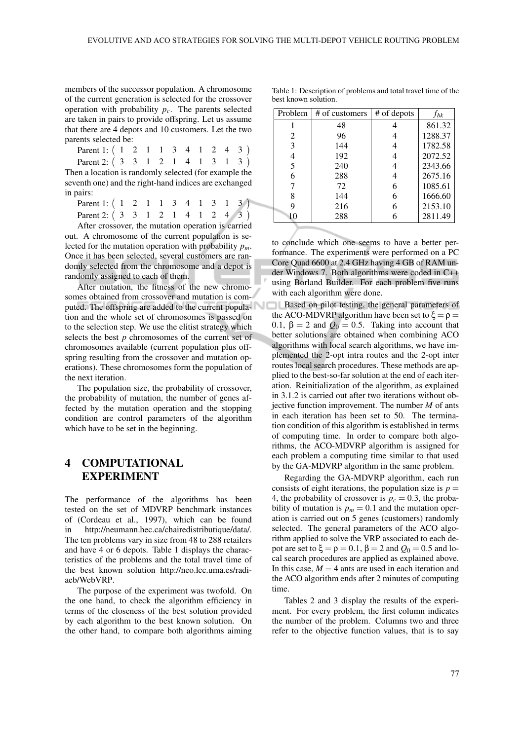members of the successor population. A chromosome of the current generation is selected for the crossover operation with probability  $p_c$ . The parents selected are taken in pairs to provide offspring. Let us assume that there are 4 depots and 10 customers. Let the two parents selected be:

| Parent 1: ( 1 2 1 1 3 4 1 2 4 3 )                     |  |  |  |  |  |  |
|-------------------------------------------------------|--|--|--|--|--|--|
| Parent 2: (3 3 1 2 1 4 1 3 1 3 )                      |  |  |  |  |  |  |
| Then a location is randomly selected (for example the |  |  |  |  |  |  |

seventh one) and the right-hand indices are exchanged in pairs:

Parent 1:  $(1 \ 2 \ 1 \ 1 \ 3 \ 4 \ 1 \ 3 \ 1 \ 3)$ Parent 2: ( 3 3 1 2 1 4 1 2 4 3 )

After crossover, the mutation operation is carried out. A chromosome of the current population is selected for the mutation operation with probability *pm*. Once it has been selected, several customers are randomly selected from the chromosome and a depot is randomly assigned to each of them.

After mutation, the fitness of the new chromosomes obtained from crossover and mutation is computed. The offspring are added to the current population and the whole set of chromosomes is passed on to the selection step. We use the elitist strategy which selects the best *p* chromosomes of the current set of chromosomes available (current population plus offspring resulting from the crossover and mutation operations). These chromosomes form the population of the next iteration.

The population size, the probability of crossover, the probability of mutation, the number of genes affected by the mutation operation and the stopping condition are control parameters of the algorithm which have to be set in the beginning.

# 4 COMPUTATIONAL EXPERIMENT

The performance of the algorithms has been tested on the set of MDVRP benchmark instances of (Cordeau et al., 1997), which can be found in http://neumann.hec.ca/chairedistributique/data/. The ten problems vary in size from 48 to 288 retailers and have 4 or 6 depots. Table 1 displays the characteristics of the problems and the total travel time of the best known solution http://neo.lcc.uma.es/radiaeb/WebVRP.

The purpose of the experiment was twofold. On the one hand, to check the algorithm efficiency in terms of the closeness of the best solution provided by each algorithm to the best known solution. On the other hand, to compare both algorithms aiming Table 1: Description of problems and total travel time of the best known solution.

| Problem | # of customers | # of depots | $f_{bk}$ |
|---------|----------------|-------------|----------|
|         | 48             |             | 861.32   |
| 2       | 96             |             | 1288.37  |
| 3       | 144            | 4           | 1782.58  |
|         | 192            |             | 2072.52  |
| 5       | 240            |             | 2343.66  |
| 6       | 288            | 4           | 2675.16  |
|         | 72             | 6           | 1085.61  |
| 8       | 144            | 6           | 1666.60  |
| 9       | 216            | 6           | 2153.10  |
| 10      | 288            |             | 2811.49  |

to conclude which one seems to have a better performance. The experiments were performed on a PC Core Quad 6600 at 2.4 GHz having 4 GB of RAM under Windows 7. Both algorithms were coded in C++ using Borland Builder. For each problem five runs with each algorithm were done.

**Based on pilot testing, the general parameters of** the ACO-MDVRP algorithm have been set to  $\xi = \rho =$ 0.1,  $\beta = 2$  and  $Q_0 = 0.5$ . Taking into account that better solutions are obtained when combining ACO algorithms with local search algorithms, we have implemented the 2-opt intra routes and the 2-opt inter routes local search procedures. These methods are applied to the best-so-far solution at the end of each iteration. Reinitialization of the algorithm, as explained in 3.1.2 is carried out after two iterations without objective function improvement. The number *M* of ants in each iteration has been set to 50. The termination condition of this algorithm is established in terms of computing time. In order to compare both algorithms, the ACO-MDVRP algorithm is assigned for each problem a computing time similar to that used by the GA-MDVRP algorithm in the same problem.

Regarding the GA-MDVRP algorithm, each run consists of eight iterations, the population size is  $p =$ 4, the probability of crossover is  $p_c = 0.3$ , the probability of mutation is  $p_m = 0.1$  and the mutation operation is carried out on 5 genes (customers) randomly selected. The general parameters of the ACO algorithm applied to solve the VRP associated to each depot are set to  $\xi = \rho = 0.1$ ,  $\beta = 2$  and  $Q_0 = 0.5$  and local search procedures are applied as explained above. In this case,  $M = 4$  ants are used in each iteration and the ACO algorithm ends after 2 minutes of computing time.

Tables 2 and 3 display the results of the experiment. For every problem, the first column indicates the number of the problem. Columns two and three refer to the objective function values, that is to say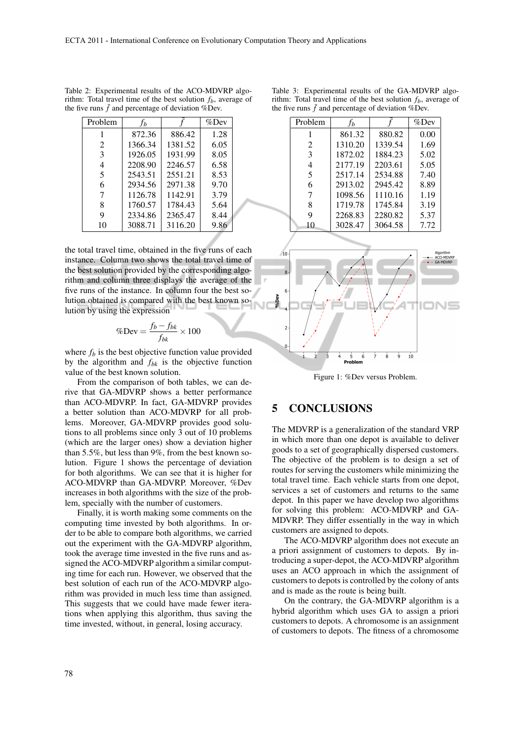| Problem | fь      |         | $%$ Dev |
|---------|---------|---------|---------|
|         | 872.36  | 886.42  | 1.28    |
| 2       | 1366.34 | 1381.52 | 6.05    |
| 3       | 1926.05 | 1931.99 | 8.05    |
| 4       | 2208.90 | 2246.57 | 6.58    |
| 5       | 2543.51 | 2551.21 | 8.53    |
| 6       | 2934.56 | 2971.38 | 9.70    |
| 7       | 1126.78 | 1142.91 | 3.79    |
| 8       | 1760.57 | 1784.43 | 5.64    |
| 9       | 2334.86 | 2365.47 | 8.44    |
| 10      | 3088.71 | 3116.20 | 9.86    |

Table 2: Experimental results of the ACO-MDVRP algorithm: Total travel time of the best solution *fb*, average of the five runs  $\bar{f}$  and percentage of deviation %Dev.

the total travel time, obtained in the five runs of each instance. Column two shows the total travel time of the best solution provided by the corresponding algorithm and column three displays the average of the five runs of the instance. In column four the best solution obtained is compared with the best known solution by using the expression

$$
\% Dev = \frac{f_b - f_{bk}}{f_{bk}} \times 100
$$

where  $f_b$  is the best objective function value provided by the algorithm and *fbk* is the objective function value of the best known solution.

From the comparison of both tables, we can derive that GA-MDVRP shows a better performance than ACO-MDVRP. In fact, GA-MDVRP provides a better solution than ACO-MDVRP for all problems. Moreover, GA-MDVRP provides good solutions to all problems since only 3 out of 10 problems (which are the larger ones) show a deviation higher than 5.5%, but less than 9%, from the best known solution. Figure 1 shows the percentage of deviation for both algorithms. We can see that it is higher for ACO-MDVRP than GA-MDVRP. Moreover, %Dev increases in both algorithms with the size of the problem, specially with the number of customers.

Finally, it is worth making some comments on the computing time invested by both algorithms. In order to be able to compare both algorithms, we carried out the experiment with the GA-MDVRP algorithm, took the average time invested in the five runs and assigned the ACO-MDVRP algorithm a similar computing time for each run. However, we observed that the best solution of each run of the ACO-MDVRP algorithm was provided in much less time than assigned. This suggests that we could have made fewer iterations when applying this algorithm, thus saving the time invested, without, in general, losing accuracy.

| Table 3: Experimental results of the GA-MDVRP algo-             |  |  |
|-----------------------------------------------------------------|--|--|
| rithm: Total travel time of the best solution $fb$ , average of |  |  |
| the five runs $f$ and percentage of deviation $%$ Dev.          |  |  |

| Problem | Ťь      |         | %Dev |
|---------|---------|---------|------|
|         | 861.32  | 880.82  | 0.00 |
| 2       | 1310.20 | 1339.54 | 1.69 |
| 3       | 1872.02 | 1884.23 | 5.02 |
| 4       | 2177.19 | 2203.61 | 5.05 |
| 5       | 2517.14 | 2534.88 | 7.40 |
| 6       | 2913.02 | 2945.42 | 8.89 |
| 7       | 1098.56 | 1110.16 | 1.19 |
| 8       | 1719.78 | 1745.84 | 3.19 |
| 9       | 2268.83 | 2280.82 | 5.37 |
| 10      | 3028.47 | 3064.58 | 7.72 |



Figure 1: %Dev versus Problem.

# 5 CONCLUSIONS

The MDVRP is a generalization of the standard VRP in which more than one depot is available to deliver goods to a set of geographically dispersed customers. The objective of the problem is to design a set of routes for serving the customers while minimizing the total travel time. Each vehicle starts from one depot, services a set of customers and returns to the same depot. In this paper we have develop two algorithms for solving this problem: ACO-MDVRP and GA-MDVRP. They differ essentially in the way in which customers are assigned to depots.

The ACO-MDVRP algorithm does not execute an a priori assignment of customers to depots. By introducing a super-depot, the ACO-MDVRP algorithm uses an ACO approach in which the assignment of customers to depots is controlled by the colony of ants and is made as the route is being built.

On the contrary, the GA-MDVRP algorithm is a hybrid algorithm which uses GA to assign a priori customers to depots. A chromosome is an assignment of customers to depots. The fitness of a chromosome